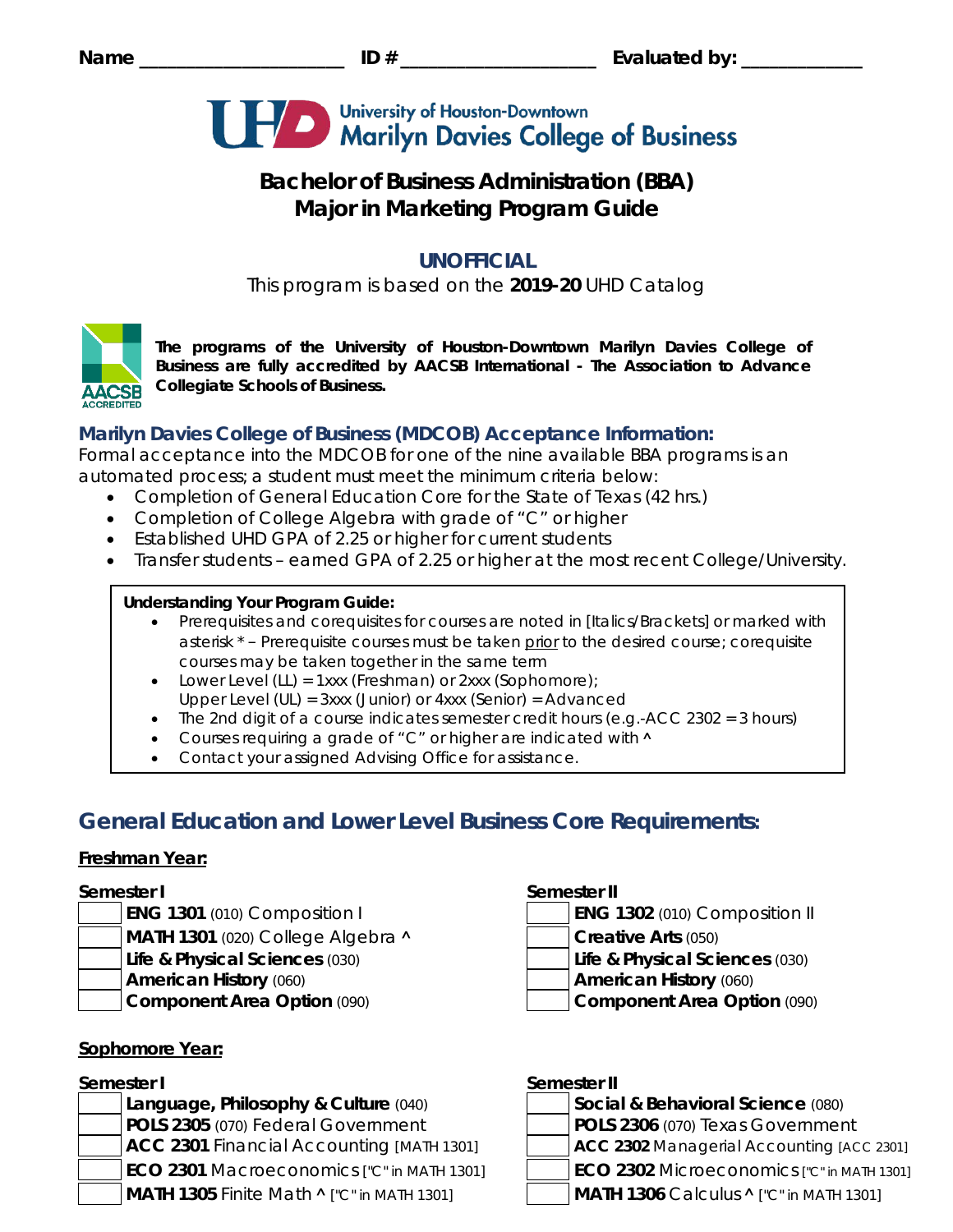

# **Bachelor of Business Administration (BBA) Major in Marketing Program Guide**

# **UNOFFICIAL**

This program is based on the **2019-20** UHD Catalog



*The programs of the University of Houston-Downtown Marilyn Davies College of Business are fully accredited by AACSB International - The Association to Advance Collegiate Schools of Business.*

# **Marilyn Davies College of Business (MDCOB) Acceptance Information:**

Formal acceptance into the MDCOB for one of the nine available BBA programs is an automated process; a student must meet the minimum criteria below:

- Completion of General Education Core for the State of Texas (42 hrs.)
- Completion of College Algebra with grade of "C" or higher
- Established UHD GPA of 2.25 or higher for current students
- Transfer students earned GPA of 2.25 or higher at the most recent College/University.

## **Understanding Your Program Guide:**

- Prerequisites and corequisites for courses are noted in *[Italics/Brackets]* or marked with asterisk \* – Prerequisite courses must be taken prior to the desired course; corequisite courses may be taken together in the same term
- Lower Level (LL) = 1xxx (Freshman) or 2xxx (Sophomore);
- Upper Level (UL) = 3xxx (Junior) or 4xxx (Senior) = Advanced
- The 2nd digit of a course indicates semester credit hours (e.g.-ACC 2302 = 3 hours)
- Courses requiring a grade of "C" or higher are indicated with  $\land$
- Contact your assigned Advising Office for assistance.

# **General Education and Lower Level Business Core Requirements:**

### **Freshman Year:**

- 
- **MATH 1301** (020) College Algebra **˄ Creative Arts** (050)
- **Life & Physical Sciences** (030) **Life & Physical Sciences** (030)
- 
- 

# **Sophomore Year:**

**Language, Philosophy & Culture (040) POLS 2305** (070) Federal Government **POLS 2306** (070) Texas Government **ACC 2301** Financial Accounting *[MATH 1301]* **ACC 2302** Managerial Accounting *[ACC 2301]* **ECO 2301** Macroeconomics *["C" in MATH 1301]* **ECO 2302** Microeconomics *["C" in MATH 1301]* **MATH 1305** Finite Math **˄** *["C" in MATH 1301]* **MATH 1306** Calculus **˄** *["C" in MATH 1301]*

## **Semester I Semester II**

- **ENG 1301** (010) Composition I **ENG 1302** (010) Composition II
	-
	-
- **American History** (060) **American History** (060)
- **Component Area Option** (090) **Component Area Option** (090)

# **Semester I Semester II**

| Social & Behavioral Science (080) |
|-----------------------------------|
| $\overline{R}$                    |

- -
-